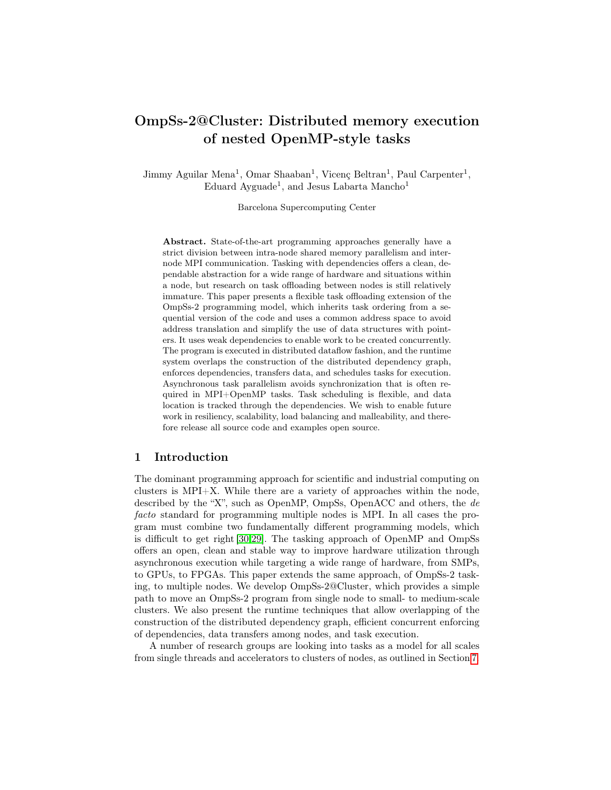# OmpSs-2@Cluster: Distributed memory execution of nested OpenMP-style tasks

Jimmy Aguilar Mena<sup>1</sup>, Omar Shaaban<sup>1</sup>, Vicenç Beltran<sup>1</sup>, Paul Carpenter<sup>1</sup>, Eduard Ayguade<sup>1</sup>, and Jesus Labarta Mancho<sup>1</sup>

Barcelona Supercomputing Center

Abstract. State-of-the-art programming approaches generally have a strict division between intra-node shared memory parallelism and internode MPI communication. Tasking with dependencies offers a clean, dependable abstraction for a wide range of hardware and situations within a node, but research on task offloading between nodes is still relatively immature. This paper presents a flexible task offloading extension of the OmpSs-2 programming model, which inherits task ordering from a sequential version of the code and uses a common address space to avoid address translation and simplify the use of data structures with pointers. It uses weak dependencies to enable work to be created concurrently. The program is executed in distributed dataflow fashion, and the runtime system overlaps the construction of the distributed dependency graph, enforces dependencies, transfers data, and schedules tasks for execution. Asynchronous task parallelism avoids synchronization that is often required in MPI+OpenMP tasks. Task scheduling is flexible, and data location is tracked through the dependencies. We wish to enable future work in resiliency, scalability, load balancing and malleability, and therefore release all source code and examples open source.

## 1 Introduction

The dominant programming approach for scientific and industrial computing on clusters is  $MPI+X$ . While there are a variety of approaches within the node, described by the "X", such as OpenMP, OmpSs, OpenACC and others, the de facto standard for programming multiple nodes is MPI. In all cases the program must combine two fundamentally different programming models, which is difficult to get right [\[30](#page-15-0)[,29\]](#page-15-1). The tasking approach of OpenMP and OmpSs offers an open, clean and stable way to improve hardware utilization through asynchronous execution while targeting a wide range of hardware, from SMPs, to GPUs, to FPGAs. This paper extends the same approach, of OmpSs-2 tasking, to multiple nodes. We develop OmpSs-2@Cluster, which provides a simple path to move an OmpSs-2 program from single node to small- to medium-scale clusters. We also present the runtime techniques that allow overlapping of the construction of the distributed dependency graph, efficient concurrent enforcing of dependencies, data transfers among nodes, and task execution.

A number of research groups are looking into tasks as a model for all scales from single threads and accelerators to clusters of nodes, as outlined in Section [7.](#page-11-0)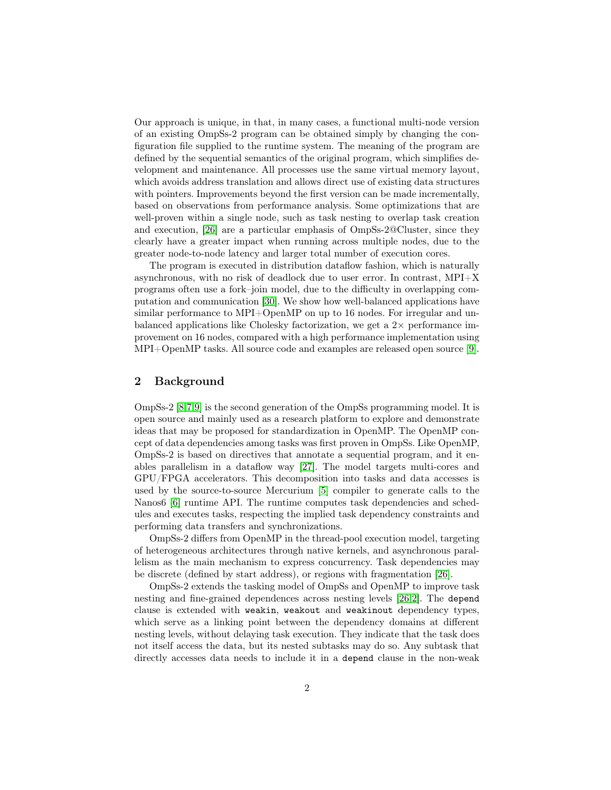Our approach is unique, in that, in many cases, a functional multi-node version of an existing OmpSs-2 program can be obtained simply by changing the configuration file supplied to the runtime system. The meaning of the program are defined by the sequential semantics of the original program, which simplifies development and maintenance. All processes use the same virtual memory layout, which avoids address translation and allows direct use of existing data structures with pointers. Improvements beyond the first version can be made incrementally, based on observations from performance analysis. Some optimizations that are well-proven within a single node, such as task nesting to overlap task creation and execution, [\[26\]](#page-15-2) are a particular emphasis of OmpSs-2@Cluster, since they clearly have a greater impact when running across multiple nodes, due to the greater node-to-node latency and larger total number of execution cores.

The program is executed in distribution dataflow fashion, which is naturally asynchronous, with no risk of deadlock due to user error. In contrast,  $MPI+X$ programs often use a fork–join model, due to the difficulty in overlapping computation and communication [\[30\]](#page-15-0). We show how well-balanced applications have similar performance to MPI+OpenMP on up to 16 nodes. For irregular and unbalanced applications like Cholesky factorization, we get a  $2\times$  performance improvement on 16 nodes, compared with a high performance implementation using MPI+OpenMP tasks. All source code and examples are released open source [\[9\]](#page-14-0).

## 2 Background

OmpSs-2 [\[8](#page-13-0)[,7](#page-13-1)[,9\]](#page-14-0) is the second generation of the OmpSs programming model. It is open source and mainly used as a research platform to explore and demonstrate ideas that may be proposed for standardization in OpenMP. The OpenMP concept of data dependencies among tasks was first proven in OmpSs. Like OpenMP, OmpSs-2 is based on directives that annotate a sequential program, and it enables parallelism in a dataflow way [\[27\]](#page-15-3). The model targets multi-cores and GPU/FPGA accelerators. This decomposition into tasks and data accesses is used by the source-to-source Mercurium [\[5\]](#page-13-2) compiler to generate calls to the Nanos6 [\[6\]](#page-13-3) runtime API. The runtime computes task dependencies and schedules and executes tasks, respecting the implied task dependency constraints and performing data transfers and synchronizations.

OmpSs-2 differs from OpenMP in the thread-pool execution model, targeting of heterogeneous architectures through native kernels, and asynchronous parallelism as the main mechanism to express concurrency. Task dependencies may be discrete (defined by start address), or regions with fragmentation [\[26\]](#page-15-2).

OmpSs-2 extends the tasking model of OmpSs and OpenMP to improve task nesting and fine-grained dependences across nesting levels [\[26,](#page-15-2)[2\]](#page-13-4). The depend clause is extended with weakin, weakout and weakinout dependency types, which serve as a linking point between the dependency domains at different nesting levels, without delaying task execution. They indicate that the task does not itself access the data, but its nested subtasks may do so. Any subtask that directly accesses data needs to include it in a depend clause in the non-weak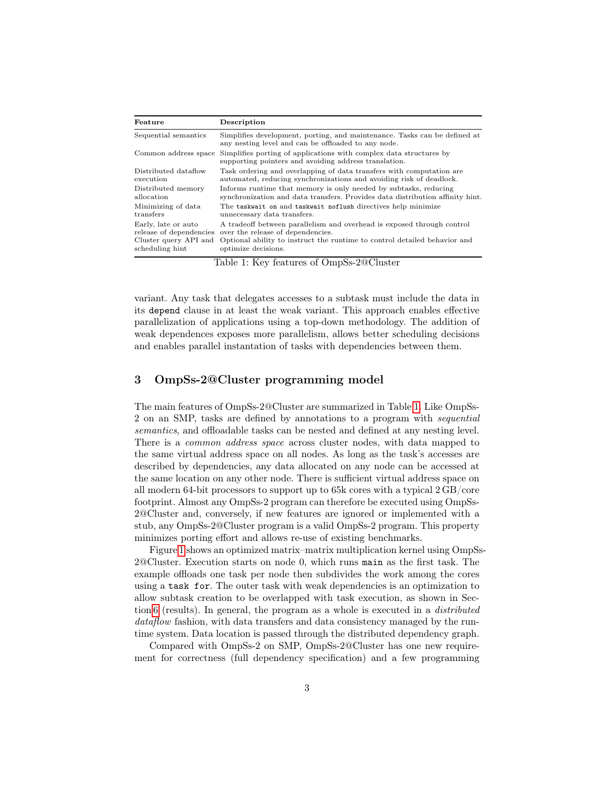<span id="page-2-0"></span>

| Feature                 | Description                                                                                                                      |
|-------------------------|----------------------------------------------------------------------------------------------------------------------------------|
| Sequential semantics    | Simplifies development, porting, and maintenance. Tasks can be defined at<br>any nesting level and can be offloaded to any node. |
| Common address space    | Simplifies porting of applications with complex data structures by<br>supporting pointers and avoiding address translation.      |
| Distributed dataflow    | Task ordering and overlapping of data transfers with computation are                                                             |
| execution               | automated, reducing synchronizations and avoiding risk of deadlock.                                                              |
| Distributed memory      | Informs runtime that memory is only needed by subtasks, reducing                                                                 |
| allocation              | synchronization and data transfers. Provides data distribution affinity hint.                                                    |
| Minimizing of data      | The taskwait on and taskwait noflush directives help minimize                                                                    |
| transfers               | unnecessary data transfers.                                                                                                      |
| Early, late or auto     | A tradeoff between parallelism and overhead is exposed through control                                                           |
| release of dependencies | over the release of dependencies.                                                                                                |
| Cluster query API and   | Optional ability to instruct the runtime to control detailed behavior and                                                        |
| scheduling hint         | optimize decisions.                                                                                                              |

Table 1: Key features of OmpSs-2@Cluster

variant. Any task that delegates accesses to a subtask must include the data in its depend clause in at least the weak variant. This approach enables effective parallelization of applications using a top-down methodology. The addition of weak dependences exposes more parallelism, allows better scheduling decisions and enables parallel instantation of tasks with dependencies between them.

### 3 OmpSs-2@Cluster programming model

The main features of OmpSs-2@Cluster are summarized in Table [1.](#page-2-0) Like OmpSs-2 on an SMP, tasks are defined by annotations to a program with sequential semantics, and offloadable tasks can be nested and defined at any nesting level. There is a *common address space* across cluster nodes, with data mapped to the same virtual address space on all nodes. As long as the task's accesses are described by dependencies, any data allocated on any node can be accessed at the same location on any other node. There is sufficient virtual address space on all modern 64-bit processors to support up to 65k cores with a typical 2 GB/core footprint. Almost any OmpSs-2 program can therefore be executed using OmpSs-2@Cluster and, conversely, if new features are ignored or implemented with a stub, any OmpSs-2@Cluster program is a valid OmpSs-2 program. This property minimizes porting effort and allows re-use of existing benchmarks.

Figure [1](#page-3-0) shows an optimized matrix–matrix multiplication kernel using OmpSs-2@Cluster. Execution starts on node 0, which runs main as the first task. The example offloads one task per node then subdivides the work among the cores using a task for. The outer task with weak dependencies is an optimization to allow subtask creation to be overlapped with task execution, as shown in Section [6](#page-8-0) (results). In general, the program as a whole is executed in a distributed dataflow fashion, with data transfers and data consistency managed by the runtime system. Data location is passed through the distributed dependency graph.

Compared with OmpSs-2 on SMP, OmpSs-2@Cluster has one new requirement for correctness (full dependency specification) and a few programming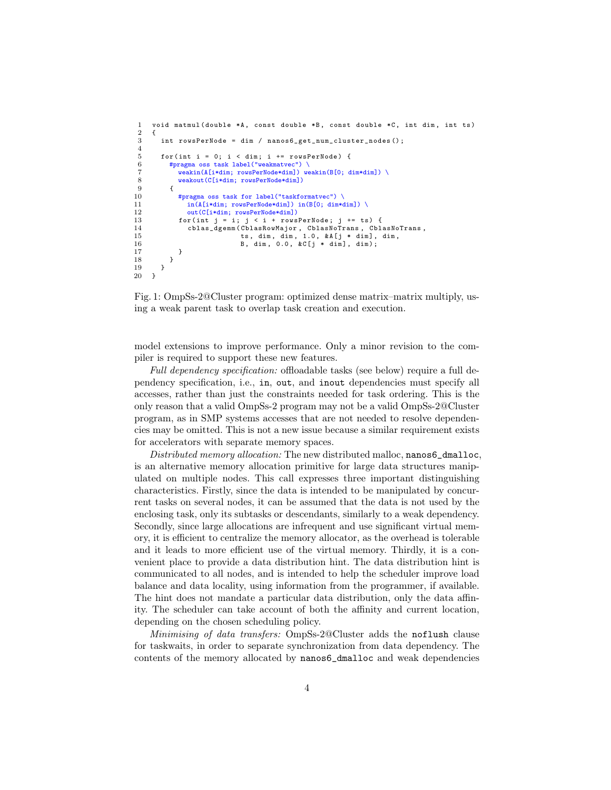```
1 void matmul ( double *A , const double *B , const double *C , int dim , int ts )
 \begin{matrix}2&4\\3\end{matrix}int rowsPerNode = dim / nanos6_get_num_cluster_nodes();
 4
 5 for (int i = 0; i < dim; i += rowsPerNode) {<br>
6 #pragma oss task label ("weakmatyec") \
             #pragma oss task label("weakmatvec") \
 7 weakin(A[i*dim; rowsPerNode*dim]) weakin(B[0; dim*dim]) \
                8 weakout(C[i*dim; rowsPerNode*dim])
\begin{array}{ccc} 9 & & \text{f} \\ 10 & & \text{f} \end{array}10 #pragma oss task for label("taskformatvec") \
11 \text{in}(A[i*dim; rowsPerNode*dim]) \text{ in}(B[0; dim*dim]) \setminus \text{out}(C[i*dim; rowsPerNode*dim])12 out(C[i*dim; rowsPerNode*dim])<br>13 for(int i = i : i \leq i + rows]13 for (int j = i; j < i + rowsPerNode; j += ts) {<br>14 cblas dgemm (Cblas Row Major, Cblas No Trans, Cbl.
14 cblas_dgemm ( CblasRowMajor, CblasNoTrans, CblasNoTrans, 5<br>15 cblas dim, dim, 1.0, & A [j * dim], dim,
15 ts, dim, dim, 1.0, &A [j * dim], dim,<br>16 B. dim. 0.0. & C [i * dim]. dim):
                                       B, dim, 0.0, & C[j * dim], dim);
17 }
\begin{array}{ccc} 18 & & & 3 \\ 19 & & 3 \end{array}\begin{array}{c} 19 \\ 20 \end{array}20 }
```
Fig. 1: OmpSs-2@Cluster program: optimized dense matrix–matrix multiply, using a weak parent task to overlap task creation and execution.

model extensions to improve performance. Only a minor revision to the compiler is required to support these new features.

Full dependency specification: offloadable tasks (see below) require a full dependency specification, i.e., in, out, and inout dependencies must specify all accesses, rather than just the constraints needed for task ordering. This is the only reason that a valid OmpSs-2 program may not be a valid OmpSs-2@Cluster program, as in SMP systems accesses that are not needed to resolve dependencies may be omitted. This is not a new issue because a similar requirement exists for accelerators with separate memory spaces.

Distributed memory allocation: The new distributed malloc, nanos6\_dmalloc, is an alternative memory allocation primitive for large data structures manipulated on multiple nodes. This call expresses three important distinguishing characteristics. Firstly, since the data is intended to be manipulated by concurrent tasks on several nodes, it can be assumed that the data is not used by the enclosing task, only its subtasks or descendants, similarly to a weak dependency. Secondly, since large allocations are infrequent and use significant virtual memory, it is efficient to centralize the memory allocator, as the overhead is tolerable and it leads to more efficient use of the virtual memory. Thirdly, it is a convenient place to provide a data distribution hint. The data distribution hint is communicated to all nodes, and is intended to help the scheduler improve load balance and data locality, using information from the programmer, if available. The hint does not mandate a particular data distribution, only the data affinity. The scheduler can take account of both the affinity and current location, depending on the chosen scheduling policy.

Minimising of data transfers: OmpSs-2@Cluster adds the noflush clause for taskwaits, in order to separate synchronization from data dependency. The contents of the memory allocated by nanos6\_dmalloc and weak dependencies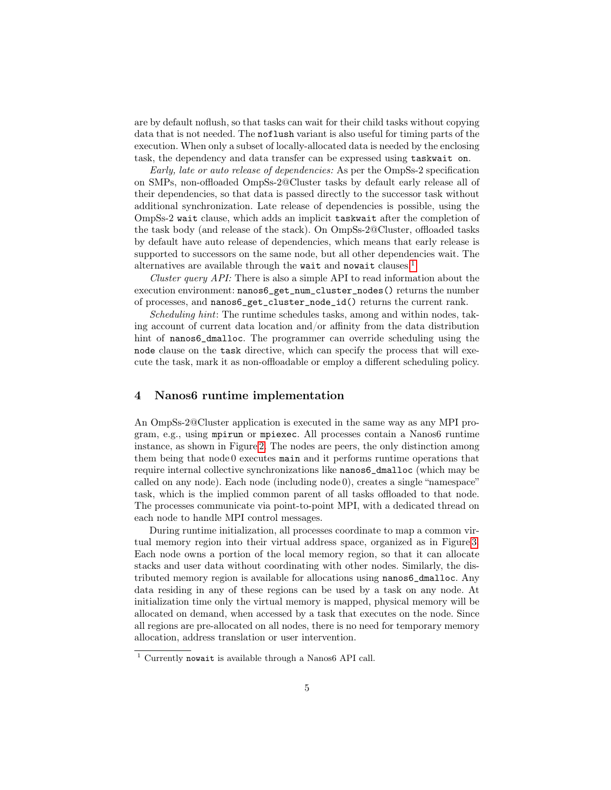are by default noflush, so that tasks can wait for their child tasks without copying data that is not needed. The noflush variant is also useful for timing parts of the execution. When only a subset of locally-allocated data is needed by the enclosing task, the dependency and data transfer can be expressed using taskwait on.

Early, late or auto release of dependencies: As per the OmpSs-2 specification on SMPs, non-offloaded OmpSs-2@Cluster tasks by default early release all of their dependencies, so that data is passed directly to the successor task without additional synchronization. Late release of dependencies is possible, using the OmpSs-2 wait clause, which adds an implicit taskwait after the completion of the task body (and release of the stack). On OmpSs-2@Cluster, offloaded tasks by default have auto release of dependencies, which means that early release is supported to successors on the same node, but all other dependencies wait. The alternatives are available through the wait and nowait clauses.<sup>[1](#page-4-0)</sup>

Cluster query API: There is also a simple API to read information about the execution environment: nanos6\_get\_num\_cluster\_nodes() returns the number of processes, and nanos6\_get\_cluster\_node\_id() returns the current rank.

Scheduling hint: The runtime schedules tasks, among and within nodes, taking account of current data location and/or affinity from the data distribution hint of nanos6\_dmalloc. The programmer can override scheduling using the node clause on the task directive, which can specify the process that will execute the task, mark it as non-offloadable or employ a different scheduling policy.

## 4 Nanos6 runtime implementation

An OmpSs-2@Cluster application is executed in the same way as any MPI program, e.g., using mpirun or mpiexec. All processes contain a Nanos6 runtime instance, as shown in Figure [2.](#page-5-0) The nodes are peers, the only distinction among them being that node 0 executes main and it performs runtime operations that require internal collective synchronizations like nanos6\_dmalloc (which may be called on any node). Each node (including node 0), creates a single "namespace" task, which is the implied common parent of all tasks offloaded to that node. The processes communicate via point-to-point MPI, with a dedicated thread on each node to handle MPI control messages.

During runtime initialization, all processes coordinate to map a common virtual memory region into their virtual address space, organized as in Figure [3.](#page-5-1) Each node owns a portion of the local memory region, so that it can allocate stacks and user data without coordinating with other nodes. Similarly, the distributed memory region is available for allocations using nanos6\_dmalloc. Any data residing in any of these regions can be used by a task on any node. At initialization time only the virtual memory is mapped, physical memory will be allocated on demand, when accessed by a task that executes on the node. Since all regions are pre-allocated on all nodes, there is no need for temporary memory allocation, address translation or user intervention.

<span id="page-4-0"></span> $^1$  Currently nowait is available through a Nanos6 API call.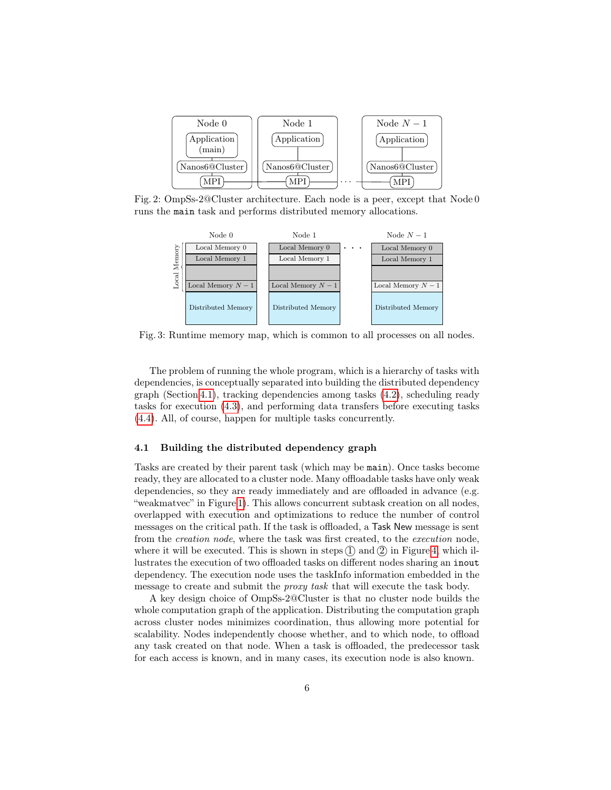<span id="page-5-0"></span>

<span id="page-5-1"></span>Fig. 2: OmpSs-2@Cluster architecture. Each node is a peer, except that Node 0 runs the main task and performs distributed memory allocations.



Fig. 3: Runtime memory map, which is common to all processes on all nodes.

The problem of running the whole program, which is a hierarchy of tasks with dependencies, is conceptually separated into building the distributed dependency graph (Section [4.1\)](#page-5-2), tracking dependencies among tasks [\(4.2\)](#page-6-0), scheduling ready tasks for execution [\(4.3\)](#page-6-1), and performing data transfers before executing tasks [\(4.4\)](#page-7-0). All, of course, happen for multiple tasks concurrently.

#### <span id="page-5-2"></span>4.1 Building the distributed dependency graph

Tasks are created by their parent task (which may be main). Once tasks become ready, they are allocated to a cluster node. Many offloadable tasks have only weak dependencies, so they are ready immediately and are offloaded in advance (e.g. "weakmatvec" in Figure [1\)](#page-3-0). This allows concurrent subtask creation on all nodes, overlapped with execution and optimizations to reduce the number of control messages on the critical path. If the task is offloaded, a Task New message is sent from the creation node, where the task was first created, to the execution node, where it will be executed. This is shown in steps  $(1)$  and  $(2)$  in Figure [4,](#page-6-2) which illustrates the execution of two offloaded tasks on different nodes sharing an inout dependency. The execution node uses the taskInfo information embedded in the message to create and submit the proxy task that will execute the task body.

A key design choice of OmpSs-2@Cluster is that no cluster node builds the whole computation graph of the application. Distributing the computation graph across cluster nodes minimizes coordination, thus allowing more potential for scalability. Nodes independently choose whether, and to which node, to offload any task created on that node. When a task is offloaded, the predecessor task for each access is known, and in many cases, its execution node is also known.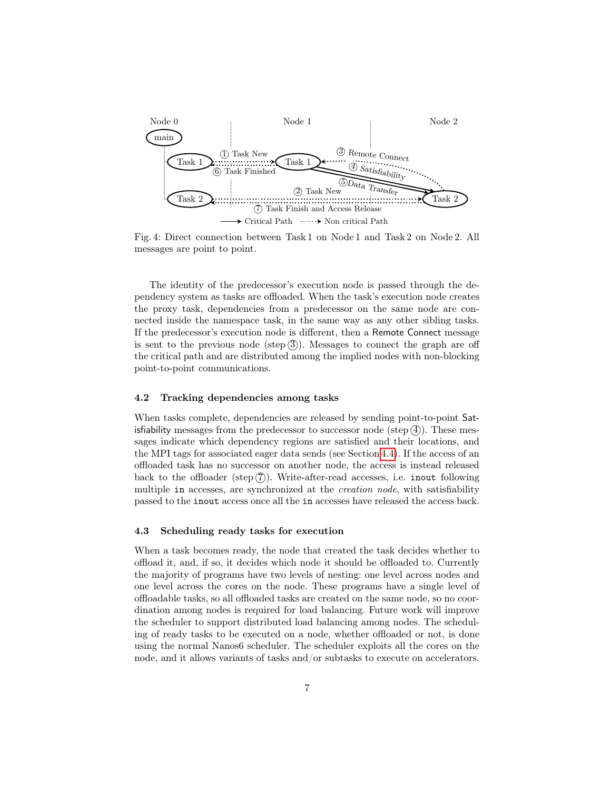<span id="page-6-2"></span>

Fig. 4: Direct connection between Task 1 on Node 1 and Task 2 on Node 2. All messages are point to point.

The identity of the predecessor's execution node is passed through the dependency system as tasks are offloaded. When the task's execution node creates the proxy task, dependencies from a predecessor on the same node are connected inside the namespace task, in the same way as any other sibling tasks. If the predecessor's execution node is different, then a Remote Connect message is sent to the previous node (step $(3)$ ). Messages to connect the graph are off the critical path and are distributed among the implied nodes with non-blocking point-to-point communications.

#### <span id="page-6-0"></span>4.2 Tracking dependencies among tasks

When tasks complete, dependencies are released by sending point-to-point Satis fiability messages from the predecessor to successor node (step  $(4)$ ). These messages indicate which dependency regions are satisfied and their locations, and the MPI tags for associated eager data sends (see Section [4.4\)](#page-7-0). If the access of an offloaded task has no successor on another node, the access is instead released back to the offloader (step $(7)$ ). Write-after-read accesses, i.e. inout following multiple in accesses, are synchronized at the creation node, with satisfiability passed to the inout access once all the in accesses have released the access back.

#### <span id="page-6-1"></span>4.3 Scheduling ready tasks for execution

When a task becomes ready, the node that created the task decides whether to offload it, and, if so, it decides which node it should be offloaded to. Currently the majority of programs have two levels of nesting: one level across nodes and one level across the cores on the node. These programs have a single level of offloadable tasks, so all offloaded tasks are created on the same node, so no coordination among nodes is required for load balancing. Future work will improve the scheduler to support distributed load balancing among nodes. The scheduling of ready tasks to be executed on a node, whether offloaded or not, is done using the normal Nanos6 scheduler. The scheduler exploits all the cores on the node, and it allows variants of tasks and/or subtasks to execute on accelerators.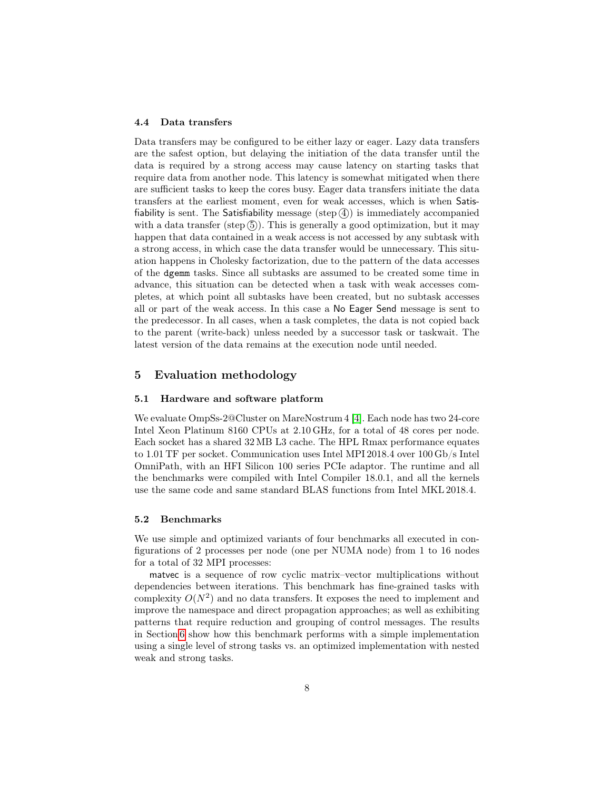#### <span id="page-7-0"></span>4.4 Data transfers

Data transfers may be configured to be either lazy or eager. Lazy data transfers are the safest option, but delaying the initiation of the data transfer until the data is required by a strong access may cause latency on starting tasks that require data from another node. This latency is somewhat mitigated when there are sufficient tasks to keep the cores busy. Eager data transfers initiate the data transfers at the earliest moment, even for weak accesses, which is when Satisfiability is sent. The Satisfiability message (step  $(4)$ ) is immediately accompanied with a data transfer (step $(5)$ ). This is generally a good optimization, but it may happen that data contained in a weak access is not accessed by any subtask with a strong access, in which case the data transfer would be unnecessary. This situation happens in Cholesky factorization, due to the pattern of the data accesses of the dgemm tasks. Since all subtasks are assumed to be created some time in advance, this situation can be detected when a task with weak accesses completes, at which point all subtasks have been created, but no subtask accesses all or part of the weak access. In this case a No Eager Send message is sent to the predecessor. In all cases, when a task completes, the data is not copied back to the parent (write-back) unless needed by a successor task or taskwait. The latest version of the data remains at the execution node until needed.

## 5 Evaluation methodology

#### 5.1 Hardware and software platform

We evaluate OmpSs-2@Cluster on MareNostrum 4 [\[4\]](#page-13-5). Each node has two 24-core Intel Xeon Platinum 8160 CPUs at 2.10 GHz, for a total of 48 cores per node. Each socket has a shared 32 MB L3 cache. The HPL Rmax performance equates to 1.01 TF per socket. Communication uses Intel MPI 2018.4 over 100 Gb/s Intel OmniPath, with an HFI Silicon 100 series PCIe adaptor. The runtime and all the benchmarks were compiled with Intel Compiler 18.0.1, and all the kernels use the same code and same standard BLAS functions from Intel MKL 2018.4.

#### <span id="page-7-1"></span>5.2 Benchmarks

We use simple and optimized variants of four benchmarks all executed in configurations of 2 processes per node (one per NUMA node) from 1 to 16 nodes for a total of 32 MPI processes:

matvec is a sequence of row cyclic matrix–vector multiplications without dependencies between iterations. This benchmark has fine-grained tasks with complexity  $O(N^2)$  and no data transfers. It exposes the need to implement and improve the namespace and direct propagation approaches; as well as exhibiting patterns that require reduction and grouping of control messages. The results in Section [6](#page-8-0) show how this benchmark performs with a simple implementation using a single level of strong tasks vs. an optimized implementation with nested weak and strong tasks.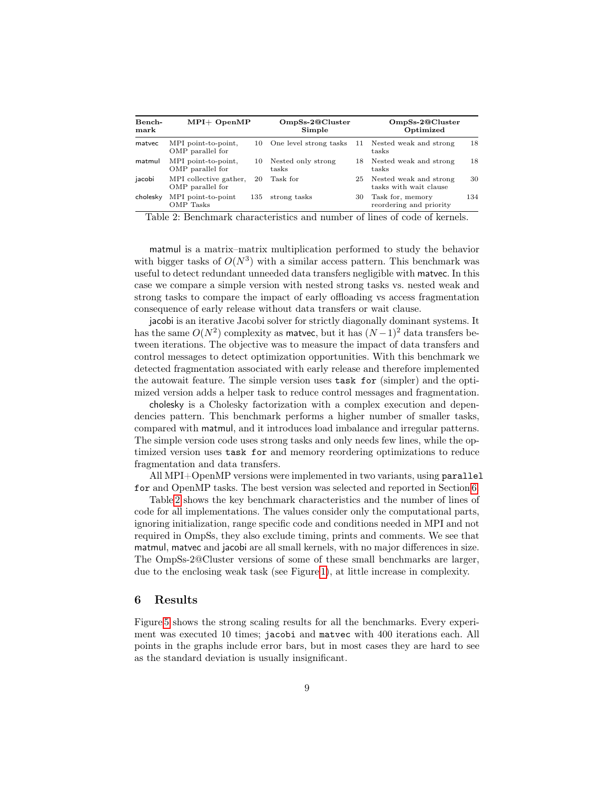<span id="page-8-1"></span>

| Bench-<br>mark | $MPI + OpenMP$                             |     | OmpSs-2@Cluster<br>Simple   |    | OmpSs-2@Cluster<br>Optimized                     |     |  |
|----------------|--------------------------------------------|-----|-----------------------------|----|--------------------------------------------------|-----|--|
| matyec         | MPI point-to-point,<br>OMP parallel for    | 10  | One level strong tasks      | 11 | Nested weak and strong<br>tasks                  | 18  |  |
| matmul         | MPI point-to-point,<br>OMP parallel for    | 10  | Nested only strong<br>tasks | 18 | Nested weak and strong<br>tasks                  | 18  |  |
| jacobi         | MPI collective gather,<br>OMP parallel for | 20  | Task for                    | 25 | Nested weak and strong<br>tasks with wait clause | 30  |  |
| cholesky       | MPI point-to-point<br>OMP Tasks            | 135 | strong tasks                | 30 | Task for, memory<br>reordering and priority      | 134 |  |

Table 2: Benchmark characteristics and number of lines of code of kernels.

matmul is a matrix–matrix multiplication performed to study the behavior with bigger tasks of  $O(N^3)$  with a similar access pattern. This benchmark was useful to detect redundant unneeded data transfers negligible with matvec. In this case we compare a simple version with nested strong tasks vs. nested weak and strong tasks to compare the impact of early offloading vs access fragmentation consequence of early release without data transfers or wait clause.

jacobi is an iterative Jacobi solver for strictly diagonally dominant systems. It has the same  $O(N^2)$  complexity as matvec, but it has  $(N-1)^2$  data transfers between iterations. The objective was to measure the impact of data transfers and control messages to detect optimization opportunities. With this benchmark we detected fragmentation associated with early release and therefore implemented the autowait feature. The simple version uses task for (simpler) and the optimized version adds a helper task to reduce control messages and fragmentation.

cholesky is a Cholesky factorization with a complex execution and dependencies pattern. This benchmark performs a higher number of smaller tasks, compared with matmul, and it introduces load imbalance and irregular patterns. The simple version code uses strong tasks and only needs few lines, while the optimized version uses task for and memory reordering optimizations to reduce fragmentation and data transfers.

All MPI+OpenMP versions were implemented in two variants, using parallel for and OpenMP tasks. The best version was selected and reported in Section [6.](#page-8-0)

Table [2](#page-8-1) shows the key benchmark characteristics and the number of lines of code for all implementations. The values consider only the computational parts, ignoring initialization, range specific code and conditions needed in MPI and not required in OmpSs, they also exclude timing, prints and comments. We see that matmul, matvec and jacobi are all small kernels, with no major differences in size. The OmpSs-2@Cluster versions of some of these small benchmarks are larger, due to the enclosing weak task (see Figure [1\)](#page-3-0), at little increase in complexity.

#### <span id="page-8-0"></span>6 Results

Figure [5](#page-9-0) shows the strong scaling results for all the benchmarks. Every experiment was executed 10 times; jacobi and matvec with 400 iterations each. All points in the graphs include error bars, but in most cases they are hard to see as the standard deviation is usually insignificant.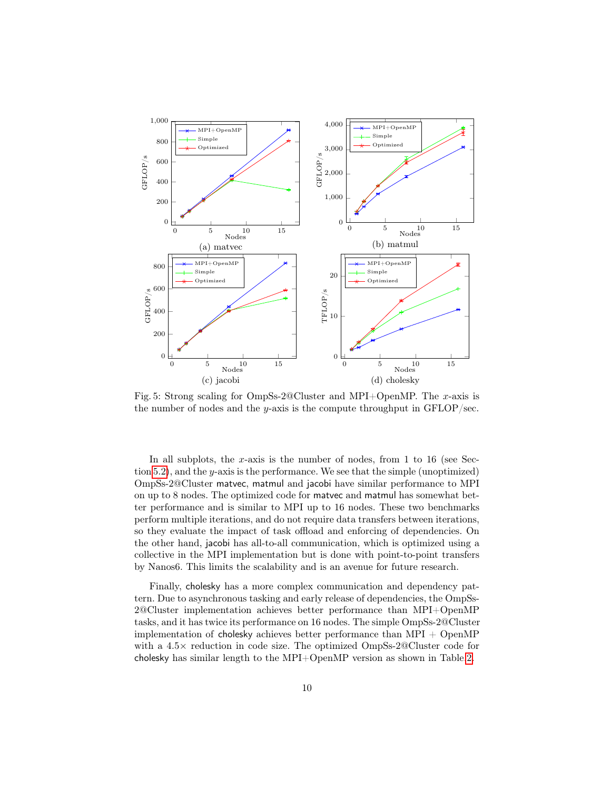<span id="page-9-0"></span>

Fig. 5: Strong scaling for OmpSs-2@Cluster and MPI+OpenMP. The x-axis is the number of nodes and the y-axis is the compute throughput in  $GFLOP/sec$ .

In all subplots, the x-axis is the number of nodes, from 1 to 16 (see Section [5.2\)](#page-7-1), and the y-axis is the performance. We see that the simple (unoptimized) OmpSs-2@Cluster matvec, matmul and jacobi have similar performance to MPI on up to 8 nodes. The optimized code for matvec and matmul has somewhat better performance and is similar to MPI up to 16 nodes. These two benchmarks perform multiple iterations, and do not require data transfers between iterations, so they evaluate the impact of task offload and enforcing of dependencies. On the other hand, jacobi has all-to-all communication, which is optimized using a collective in the MPI implementation but is done with point-to-point transfers by Nanos6. This limits the scalability and is an avenue for future research.

Finally, cholesky has a more complex communication and dependency pattern. Due to asynchronous tasking and early release of dependencies, the OmpSs-2@Cluster implementation achieves better performance than MPI+OpenMP tasks, and it has twice its performance on 16 nodes. The simple OmpSs-2@Cluster implementation of cholesky achieves better performance than  $MPI + OpenMP$ with a 4.5× reduction in code size. The optimized OmpSs-2@Cluster code for cholesky has similar length to the MPI+OpenMP version as shown in Table[.2.](#page-8-1)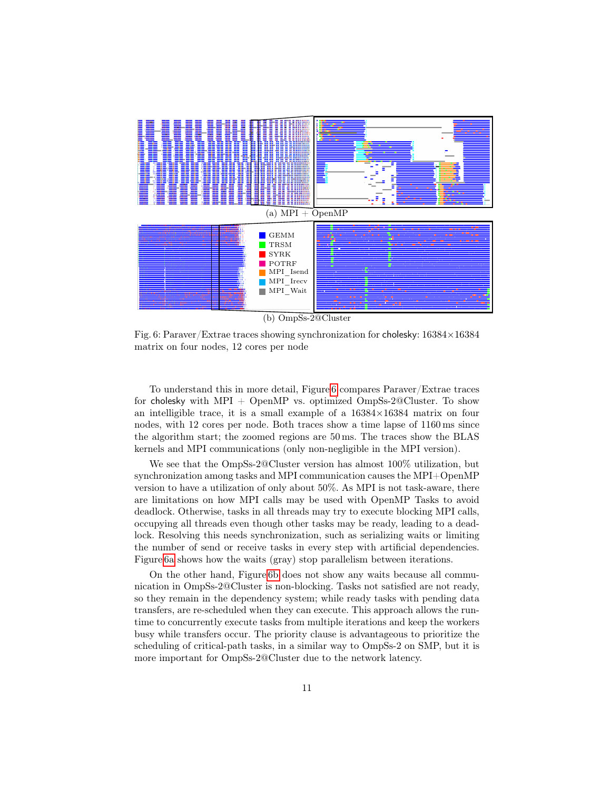<span id="page-10-0"></span>

Fig. 6: Paraver/Extrae traces showing synchronization for cholesky: 16384×16384 matrix on four nodes, 12 cores per node

To understand this in more detail, Figure [6](#page-10-0) compares Paraver/Extrae traces for cholesky with  $MPI + OpenMP$  vs. optimized OmpSs-2@Cluster. To show an intelligible trace, it is a small example of a  $16384\times16384$  matrix on four nodes, with 12 cores per node. Both traces show a time lapse of 1160 ms since the algorithm start; the zoomed regions are 50 ms. The traces show the BLAS kernels and MPI communications (only non-negligible in the MPI version).

We see that the OmpSs-2@Cluster version has almost 100% utilization, but synchronization among tasks and MPI communication causes the MPI+OpenMP version to have a utilization of only about 50%. As MPI is not task-aware, there are limitations on how MPI calls may be used with OpenMP Tasks to avoid deadlock. Otherwise, tasks in all threads may try to execute blocking MPI calls, occupying all threads even though other tasks may be ready, leading to a deadlock. Resolving this needs synchronization, such as serializing waits or limiting the number of send or receive tasks in every step with artificial dependencies. Figure [6a](#page-10-0) shows how the waits (gray) stop parallelism between iterations.

On the other hand, Figure [6b](#page-10-0) does not show any waits because all communication in OmpSs-2@Cluster is non-blocking. Tasks not satisfied are not ready, so they remain in the dependency system; while ready tasks with pending data transfers, are re-scheduled when they can execute. This approach allows the runtime to concurrently execute tasks from multiple iterations and keep the workers busy while transfers occur. The priority clause is advantageous to prioritize the scheduling of critical-path tasks, in a similar way to OmpSs-2 on SMP, but it is more important for OmpSs-2@Cluster due to the network latency.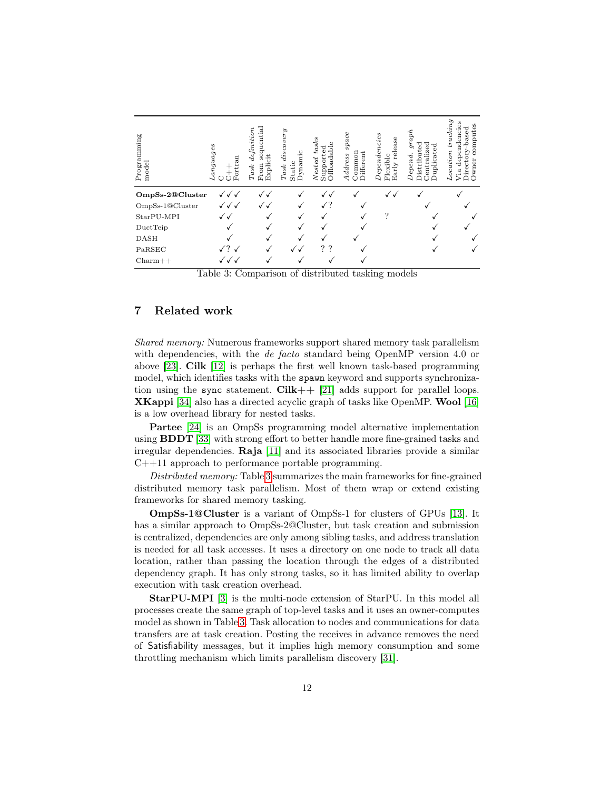<span id="page-11-1"></span>

| Programming<br>model | Lang uages<br>Fortran<br>↻ | definition<br>sequentia<br>Explicit<br>From<br>Task | discovery<br>Dynamic<br>Static<br>$Task$ | task<br>Offloadable<br>Supported<br>Nested | space<br>Common<br>ifferent<br><b>Address</b><br>≏ | Dependencies<br>release<br>Flexible<br>Early | $graph$<br>Distributed<br>Centralized<br>Duplicated<br>Depend. | tracking<br>dependencies<br>computes<br>-based<br>Directory<br>Location<br>wner<br>Via<br>C |
|----------------------|----------------------------|-----------------------------------------------------|------------------------------------------|--------------------------------------------|----------------------------------------------------|----------------------------------------------|----------------------------------------------------------------|---------------------------------------------------------------------------------------------|
| OmpSs-2@Cluster      | ✓✓✓                        |                                                     |                                          |                                            |                                                    |                                              |                                                                |                                                                                             |
| OmpSs-1@Cluster      |                            |                                                     |                                          |                                            |                                                    |                                              |                                                                |                                                                                             |
| StarPU-MPI           |                            |                                                     |                                          |                                            |                                                    | 9                                            |                                                                |                                                                                             |
| DuctTeip             |                            |                                                     |                                          |                                            |                                                    |                                              |                                                                |                                                                                             |
| <b>DASH</b>          |                            |                                                     |                                          |                                            |                                                    |                                              |                                                                |                                                                                             |
| PaRSEC               |                            |                                                     |                                          | ?<br>?                                     |                                                    |                                              |                                                                |                                                                                             |
| $Charm++$            | $\sim$<br>-- - -           |                                                     | $\sim$ $\sim$                            | $\sim$ $\sim$                              | $\sim$<br>. .                                      |                                              | . .                                                            |                                                                                             |

Table 3: Comparison of distributed tasking models

## <span id="page-11-0"></span>7 Related work

Shared memory: Numerous frameworks support shared memory task parallelism with dependencies, with the *de facto* standard being OpenMP version 4.0 or above [\[23\]](#page-15-4). Cilk [\[12\]](#page-14-1) is perhaps the first well known task-based programming model, which identifies tasks with the spawn keyword and supports synchroniza-tion using the sync statement. Cilk++ [\[21\]](#page-14-2) adds support for parallel loops. XKappi [\[34\]](#page-15-5) also has a directed acyclic graph of tasks like OpenMP. Wool [\[16\]](#page-14-3) is a low overhead library for nested tasks.

Partee [\[24\]](#page-15-6) is an OmpSs programming model alternative implementation using BDDT [\[33\]](#page-15-7) with strong effort to better handle more fine-grained tasks and irregular dependencies. Raja [\[11\]](#page-14-4) and its associated libraries provide a similar  $C_{++11}$  approach to performance portable programming.

Distributed memory: Table [3](#page-11-1) summarizes the main frameworks for fine-grained distributed memory task parallelism. Most of them wrap or extend existing frameworks for shared memory tasking.

OmpSs-1@Cluster is a variant of OmpSs-1 for clusters of GPUs [\[13\]](#page-14-5). It has a similar approach to OmpSs-2@Cluster, but task creation and submission is centralized, dependencies are only among sibling tasks, and address translation is needed for all task accesses. It uses a directory on one node to track all data location, rather than passing the location through the edges of a distributed dependency graph. It has only strong tasks, so it has limited ability to overlap execution with task creation overhead.

StarPU-MPI [\[3\]](#page-13-6) is the multi-node extension of StarPU. In this model all processes create the same graph of top-level tasks and it uses an owner-computes model as shown in Table [3.](#page-11-1) Task allocation to nodes and communications for data transfers are at task creation. Posting the receives in advance removes the need of Satisfiability messages, but it implies high memory consumption and some throttling mechanism which limits parallelism discovery [\[31\]](#page-15-8).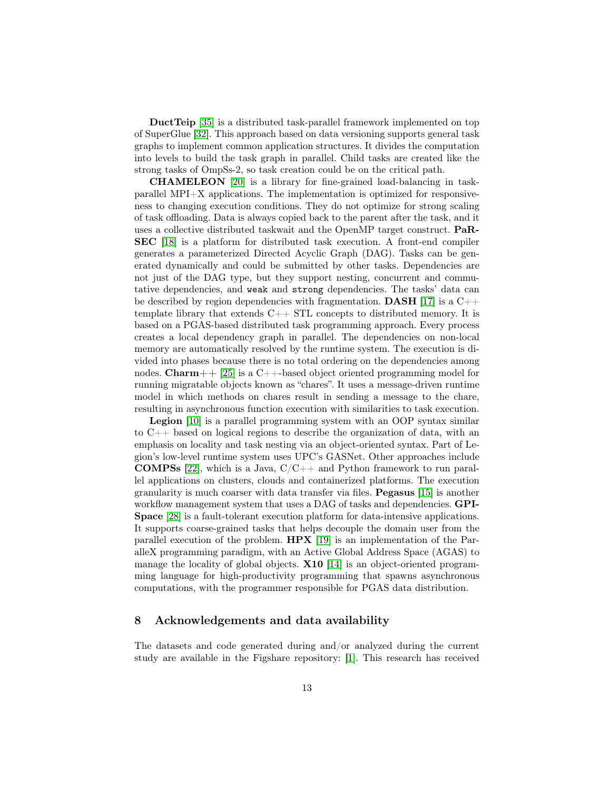DuctTeip [\[35\]](#page-15-9) is a distributed task-parallel framework implemented on top of SuperGlue [\[32\]](#page-15-10). This approach based on data versioning supports general task graphs to implement common application structures. It divides the computation into levels to build the task graph in parallel. Child tasks are created like the strong tasks of OmpSs-2, so task creation could be on the critical path.

CHAMELEON [\[20\]](#page-14-6) is a library for fine-grained load-balancing in taskparallel MPI+X applications. The implementation is optimized for responsiveness to changing execution conditions. They do not optimize for strong scaling of task offloading. Data is always copied back to the parent after the task, and it uses a collective distributed taskwait and the OpenMP target construct. PaR-SEC [\[18\]](#page-14-7) is a platform for distributed task execution. A front-end compiler generates a parameterized Directed Acyclic Graph (DAG). Tasks can be generated dynamically and could be submitted by other tasks. Dependencies are not just of the DAG type, but they support nesting, concurrent and commutative dependencies, and weak and strong dependencies. The tasks' data can be described by region dependencies with fragmentation. **DASH** [\[17\]](#page-14-8) is a C++ template library that extends C++ STL concepts to distributed memory. It is based on a PGAS-based distributed task programming approach. Every process creates a local dependency graph in parallel. The dependencies on non-local memory are automatically resolved by the runtime system. The execution is divided into phases because there is no total ordering on the dependencies among nodes. **Charm**++ [\[25\]](#page-15-11) is a C++-based object oriented programming model for running migratable objects known as "chares". It uses a message-driven runtime model in which methods on chares result in sending a message to the chare, resulting in asynchronous function execution with similarities to task execution.

Legion [\[10\]](#page-14-9) is a parallel programming system with an OOP syntax similar to C++ based on logical regions to describe the organization of data, with an emphasis on locality and task nesting via an object-oriented syntax. Part of Legion's low-level runtime system uses UPC's GASNet. Other approaches include **COMPSs** [\[22\]](#page-15-12), which is a Java,  $C/C++$  and Python framework to run parallel applications on clusters, clouds and containerized platforms. The execution granularity is much coarser with data transfer via files. Pegasus [\[15\]](#page-14-10) is another workflow management system that uses a DAG of tasks and dependencies. **GPI**-Space [\[28\]](#page-15-13) is a fault-tolerant execution platform for data-intensive applications. It supports coarse-grained tasks that helps decouple the domain user from the parallel execution of the problem. HPX [\[19\]](#page-14-11) is an implementation of the ParalleX programming paradigm, with an Active Global Address Space (AGAS) to manage the locality of global objects.  $X10$  [\[14\]](#page-14-12) is an object-oriented programming language for high-productivity programming that spawns asynchronous computations, with the programmer responsible for PGAS data distribution.

## 8 Acknowledgements and data availability

The datasets and code generated during and/or analyzed during the current study are available in the Figshare repository: [\[1\]](#page-13-7). This research has received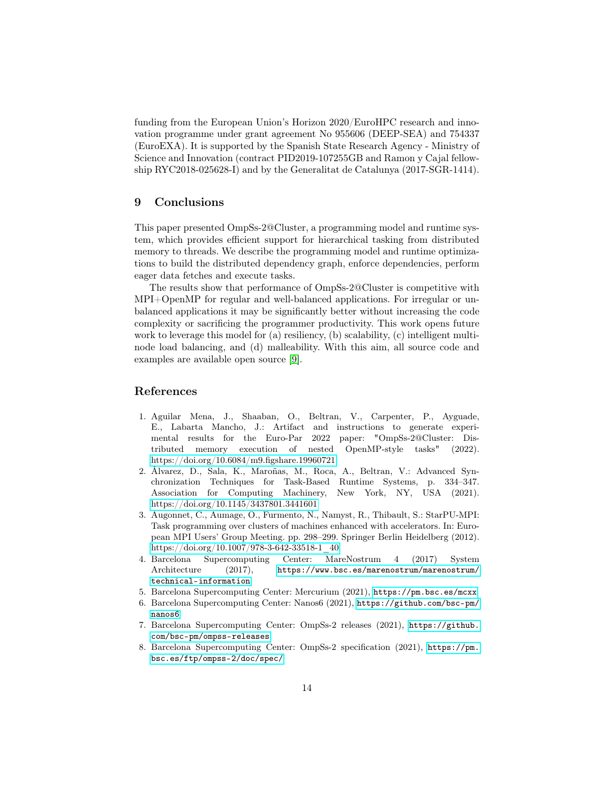funding from the European Union's Horizon 2020/EuroHPC research and innovation programme under grant agreement No 955606 (DEEP-SEA) and 754337 (EuroEXA). It is supported by the Spanish State Research Agency - Ministry of Science and Innovation (contract PID2019-107255GB and Ramon y Cajal fellowship RYC2018-025628-I) and by the Generalitat de Catalunya (2017-SGR-1414).

#### 9 Conclusions

This paper presented OmpSs-2@Cluster, a programming model and runtime system, which provides efficient support for hierarchical tasking from distributed memory to threads. We describe the programming model and runtime optimizations to build the distributed dependency graph, enforce dependencies, perform eager data fetches and execute tasks.

The results show that performance of OmpSs-2@Cluster is competitive with MPI+OpenMP for regular and well-balanced applications. For irregular or unbalanced applications it may be significantly better without increasing the code complexity or sacrificing the programmer productivity. This work opens future work to leverage this model for (a) resiliency, (b) scalability, (c) intelligent multinode load balancing, and (d) malleability. With this aim, all source code and examples are available open source [\[9\]](#page-14-0).

## References

- <span id="page-13-7"></span>1. Aguilar Mena, J., Shaaban, O., Beltran, V., Carpenter, P., Ayguade, E., Labarta Mancho, J.: Artifact and instructions to generate experimental results for the Euro-Par 2022 paper: "OmpSs-2@Cluster: Distributed memory execution of nested OpenMP-style tasks" (2022). <https://doi.org/10.6084/m9.figshare.19960721>
- <span id="page-13-4"></span>2. Álvarez, D., Sala, K., Maroñas, M., Roca, A., Beltran, V.: Advanced Synchronization Techniques for Task-Based Runtime Systems, p. 334–347. Association for Computing Machinery, New York, NY, USA (2021). <https://doi.org/10.1145/3437801.3441601>
- <span id="page-13-6"></span>3. Augonnet, C., Aumage, O., Furmento, N., Namyst, R., Thibault, S.: StarPU-MPI: Task programming over clusters of machines enhanced with accelerators. In: European MPI Users' Group Meeting. pp. 298–299. Springer Berlin Heidelberg (2012). [https://doi.org/10.1007/978-3-642-33518-1\\_40](https://doi.org/10.1007/978-3-642-33518-1_40)
- <span id="page-13-5"></span>4. Barcelona Supercomputing Center: MareNostrum 4 (2017) System Architecture (2017), [https://www.bsc.es/marenostrum/marenostrum/](https://www.bsc.es/marenostrum/marenostrum/technical-information) [technical-information](https://www.bsc.es/marenostrum/marenostrum/technical-information)
- <span id="page-13-2"></span>5. Barcelona Supercomputing Center: Mercurium (2021), <https://pm.bsc.es/mcxx>
- <span id="page-13-3"></span>6. Barcelona Supercomputing Center: Nanos6 (2021), [https://github.com/bsc-pm/](https://github.com/bsc-pm/nanos6) [nanos6](https://github.com/bsc-pm/nanos6)
- <span id="page-13-1"></span>7. Barcelona Supercomputing Center: OmpSs-2 releases (2021), [https://github.](https://github.com/bsc-pm/ompss-releases) [com/bsc-pm/ompss-releases](https://github.com/bsc-pm/ompss-releases)
- <span id="page-13-0"></span>8. Barcelona Supercomputing Center: OmpSs-2 specification (2021), [https://pm.](https://pm.bsc.es/ftp/ompss-2/doc/spec/) [bsc.es/ftp/ompss-2/doc/spec/](https://pm.bsc.es/ftp/ompss-2/doc/spec/)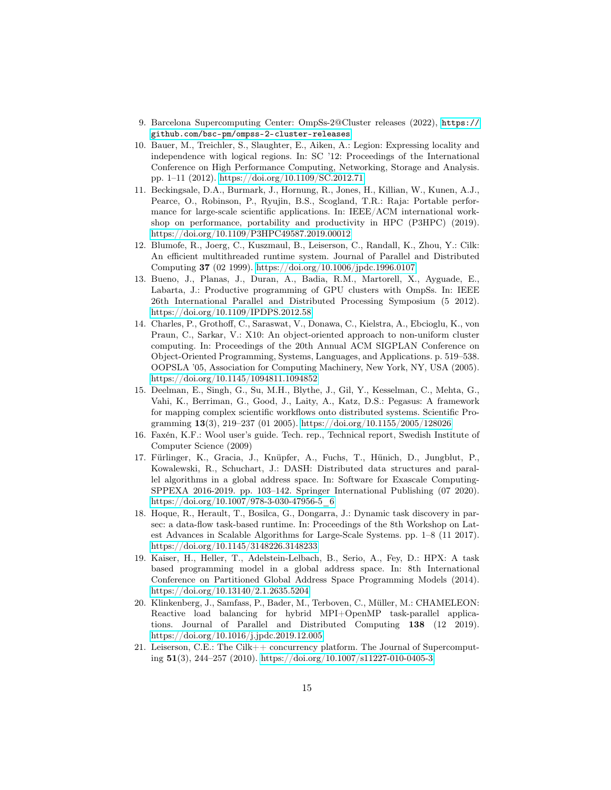- <span id="page-14-0"></span>9. Barcelona Supercomputing Center: OmpSs-2@Cluster releases (2022), [https://](https://github.com/bsc-pm/ompss-2-cluster-releases) [github.com/bsc-pm/ompss-2-cluster-releases](https://github.com/bsc-pm/ompss-2-cluster-releases)
- <span id="page-14-9"></span>10. Bauer, M., Treichler, S., Slaughter, E., Aiken, A.: Legion: Expressing locality and independence with logical regions. In: SC '12: Proceedings of the International Conference on High Performance Computing, Networking, Storage and Analysis. pp. 1–11 (2012).<https://doi.org/10.1109/SC.2012.71>
- <span id="page-14-4"></span>11. Beckingsale, D.A., Burmark, J., Hornung, R., Jones, H., Killian, W., Kunen, A.J., Pearce, O., Robinson, P., Ryujin, B.S., Scogland, T.R.: Raja: Portable performance for large-scale scientific applications. In: IEEE/ACM international workshop on performance, portability and productivity in HPC (P3HPC) (2019). <https://doi.org/10.1109/P3HPC49587.2019.00012>
- <span id="page-14-1"></span>12. Blumofe, R., Joerg, C., Kuszmaul, B., Leiserson, C., Randall, K., Zhou, Y.: Cilk: An efficient multithreaded runtime system. Journal of Parallel and Distributed Computing 37 (02 1999).<https://doi.org/10.1006/jpdc.1996.0107>
- <span id="page-14-5"></span>13. Bueno, J., Planas, J., Duran, A., Badia, R.M., Martorell, X., Ayguade, E., Labarta, J.: Productive programming of GPU clusters with OmpSs. In: IEEE 26th International Parallel and Distributed Processing Symposium (5 2012). <https://doi.org/10.1109/IPDPS.2012.58>
- <span id="page-14-12"></span>14. Charles, P., Grothoff, C., Saraswat, V., Donawa, C., Kielstra, A., Ebcioglu, K., von Praun, C., Sarkar, V.: X10: An object-oriented approach to non-uniform cluster computing. In: Proceedings of the 20th Annual ACM SIGPLAN Conference on Object-Oriented Programming, Systems, Languages, and Applications. p. 519–538. OOPSLA '05, Association for Computing Machinery, New York, NY, USA (2005). <https://doi.org/10.1145/1094811.1094852>
- <span id="page-14-10"></span>15. Deelman, E., Singh, G., Su, M.H., Blythe, J., Gil, Y., Kesselman, C., Mehta, G., Vahi, K., Berriman, G., Good, J., Laity, A., Katz, D.S.: Pegasus: A framework for mapping complex scientific workflows onto distributed systems. Scientific Programming 13(3), 219–237 (01 2005).<https://doi.org/10.1155/2005/128026>
- <span id="page-14-3"></span>16. Faxén, K.F.: Wool user's guide. Tech. rep., Technical report, Swedish Institute of Computer Science (2009)
- <span id="page-14-8"></span>17. Fürlinger, K., Gracia, J., Knüpfer, A., Fuchs, T., Hünich, D., Jungblut, P., Kowalewski, R., Schuchart, J.: DASH: Distributed data structures and parallel algorithms in a global address space. In: Software for Exascale Computing-SPPEXA 2016-2019. pp. 103–142. Springer International Publishing (07 2020). [https://doi.org/10.1007/978-3-030-47956-5\\_6](https://doi.org/10.1007/978-3-030-47956-5_6)
- <span id="page-14-7"></span>18. Hoque, R., Herault, T., Bosilca, G., Dongarra, J.: Dynamic task discovery in parsec: a data-flow task-based runtime. In: Proceedings of the 8th Workshop on Latest Advances in Scalable Algorithms for Large-Scale Systems. pp. 1–8 (11 2017). <https://doi.org/10.1145/3148226.3148233>
- <span id="page-14-11"></span>19. Kaiser, H., Heller, T., Adelstein-Lelbach, B., Serio, A., Fey, D.: HPX: A task based programming model in a global address space. In: 8th International Conference on Partitioned Global Address Space Programming Models (2014). <https://doi.org/10.13140/2.1.2635.5204>
- <span id="page-14-6"></span>20. Klinkenberg, J., Samfass, P., Bader, M., Terboven, C., Müller, M.: CHAMELEON: Reactive load balancing for hybrid MPI+OpenMP task-parallel applications. Journal of Parallel and Distributed Computing 138 (12 2019). <https://doi.org/10.1016/j.jpdc.2019.12.005>
- <span id="page-14-2"></span>21. Leiserson, C.E.: The Cilk++ concurrency platform. The Journal of Supercomputing 51(3), 244–257 (2010).<https://doi.org/10.1007/s11227-010-0405-3>